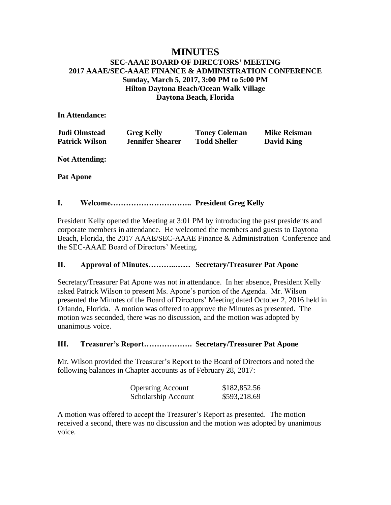# **MINUTES SEC-AAAE BOARD OF DIRECTORS' MEETING 2017 AAAE/SEC-AAAE FINANCE & ADMINISTRATION CONFERENCE Sunday, March 5, 2017, 3:00 PM to 5:00 PM Hilton Daytona Beach/Ocean Walk Village Daytona Beach, Florida**

## **In Attendance:**

| Judi Olmstead         | <b>Greg Kelly</b>       | <b>Toney Coleman</b> | <b>Mike Reisman</b> |
|-----------------------|-------------------------|----------------------|---------------------|
| <b>Patrick Wilson</b> | <b>Jennifer Shearer</b> | <b>Todd Sheller</b>  | <b>David King</b>   |

**Not Attending:**

**Pat Apone**

## **I. Welcome………………………….. President Greg Kelly**

President Kelly opened the Meeting at 3:01 PM by introducing the past presidents and corporate members in attendance. He welcomed the members and guests to Daytona Beach, Florida, the 2017 AAAE/SEC-AAAE Finance & Administration Conference and the SEC-AAAE Board of Directors' Meeting.

# **II. Approval of Minutes………..…… Secretary/Treasurer Pat Apone**

Secretary/Treasurer Pat Apone was not in attendance. In her absence, President Kelly asked Patrick Wilson to present Ms. Apone's portion of the Agenda. Mr. Wilson presented the Minutes of the Board of Directors' Meeting dated October 2, 2016 held in Orlando, Florida. A motion was offered to approve the Minutes as presented. The motion was seconded, there was no discussion, and the motion was adopted by unanimous voice.

# **III. Treasurer's Report………………. Secretary/Treasurer Pat Apone**

Mr. Wilson provided the Treasurer's Report to the Board of Directors and noted the following balances in Chapter accounts as of February 28, 2017:

| <b>Operating Account</b> | \$182,852.56 |
|--------------------------|--------------|
| Scholarship Account      | \$593,218.69 |

A motion was offered to accept the Treasurer's Report as presented. The motion received a second, there was no discussion and the motion was adopted by unanimous voice.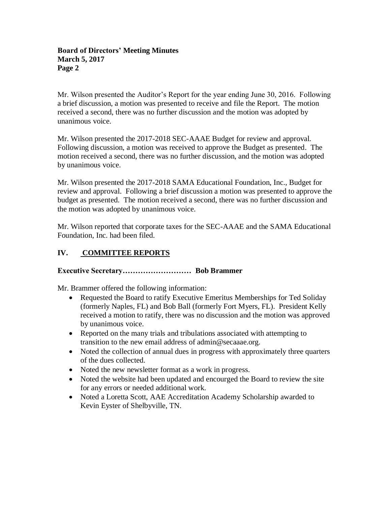#### **Board of Directors' Meeting Minutes March 5, 2017 Page 2**

Mr. Wilson presented the Auditor's Report for the year ending June 30, 2016. Following a brief discussion, a motion was presented to receive and file the Report. The motion received a second, there was no further discussion and the motion was adopted by unanimous voice.

Mr. Wilson presented the 2017-2018 SEC-AAAE Budget for review and approval. Following discussion, a motion was received to approve the Budget as presented. The motion received a second, there was no further discussion, and the motion was adopted by unanimous voice.

Mr. Wilson presented the 2017-2018 SAMA Educational Foundation, Inc., Budget for review and approval. Following a brief discussion a motion was presented to approve the budget as presented. The motion received a second, there was no further discussion and the motion was adopted by unanimous voice.

Mr. Wilson reported that corporate taxes for the SEC-AAAE and the SAMA Educational Foundation, Inc. had been filed.

# **IV. COMMITTEE REPORTS**

# **Executive Secretary……………………… Bob Brammer**

Mr. Brammer offered the following information:

- Requested the Board to ratify Executive Emeritus Memberships for Ted Soliday (formerly Naples, FL) and Bob Ball (formerly Fort Myers, FL). President Kelly received a motion to ratify, there was no discussion and the motion was approved by unanimous voice.
- Reported on the many trials and tribulations associated with attempting to transition to the new email address of admin@secaaae.org.
- Noted the collection of annual dues in progress with approximately three quarters of the dues collected.
- Noted the new newsletter format as a work in progress.
- Noted the website had been updated and encourged the Board to review the site for any errors or needed additional work.
- Noted a Loretta Scott, AAE Accreditation Academy Scholarship awarded to Kevin Eyster of Shelbyville, TN.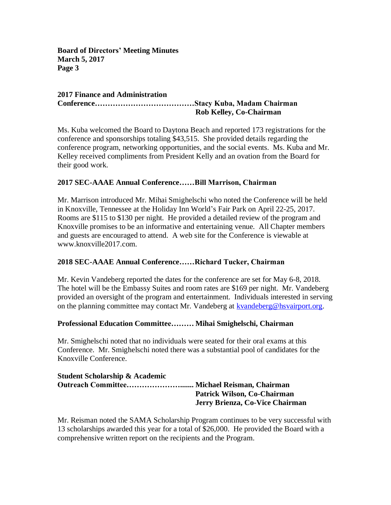**Board of Directors' Meeting Minutes March 5, 2017 Page 3**

#### **2017 Finance and Administration Conference…………………………………Stacy Kuba, Madam Chairman Rob Kelley, Co-Chairman**

Ms. Kuba welcomed the Board to Daytona Beach and reported 173 registrations for the conference and sponsorships totaling \$43,515. She provided details regarding the conference program, networking opportunities, and the social events. Ms. Kuba and Mr. Kelley received compliments from President Kelly and an ovation from the Board for their good work.

# **2017 SEC-AAAE Annual Conference……Bill Marrison, Chairman**

Mr. Marrison introduced Mr. Mihai Smighelschi who noted the Conference will be held in Knoxville, Tennessee at the Holiday Inn World's Fair Park on April 22-25, 2017. Rooms are \$115 to \$130 per night. He provided a detailed review of the program and Knoxville promises to be an informative and entertaining venue. All Chapter members and guests are encouraged to attend. A web site for the Conference is viewable at www.knoxville2017.com.

#### **2018 SEC-AAAE Annual Conference……Richard Tucker, Chairman**

Mr. Kevin Vandeberg reported the dates for the conference are set for May 6-8, 2018. The hotel will be the Embassy Suites and room rates are \$169 per night. Mr. Vandeberg provided an oversight of the program and entertainment. Individuals interested in serving on the planning committee may contact Mr. Vandeberg at [kvandeberg@hsvairport.org.](mailto:kvandeberg@hsvairport.org)

#### **Professional Education Committee……… Mihai Smighelschi, Chairman**

Mr. Smighelschi noted that no individuals were seated for their oral exams at this Conference. Mr. Smighelschi noted there was a substantial pool of candidates for the Knoxville Conference.

| <b>Student Scholarship &amp; Academic</b> |                                 |
|-------------------------------------------|---------------------------------|
|                                           |                                 |
|                                           | Patrick Wilson, Co-Chairman     |
|                                           | Jerry Brienza, Co-Vice Chairman |

Mr. Reisman noted the SAMA Scholarship Program continues to be very successful with 13 scholarships awarded this year for a total of \$26,000. He provided the Board with a comprehensive written report on the recipients and the Program.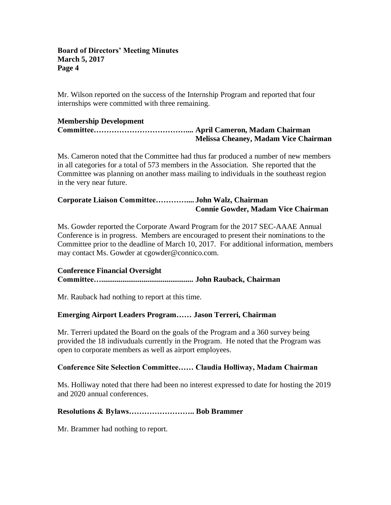#### **Board of Directors' Meeting Minutes March 5, 2017 Page 4**

Mr. Wilson reported on the success of the Internship Program and reported that four internships were committed with three remaining.

## **Membership Development**

**Committee……………………………….... April Cameron, Madam Chairman Melissa Cheaney, Madam Vice Chairman**

Ms. Cameron noted that the Committee had thus far produced a number of new members in all categories for a total of 573 members in the Association. She reported that the Committee was planning on another mass mailing to individuals in the southeast region in the very near future.

# **Corporate Liaison Committee………….... John Walz, Chairman Connie Gowder, Madam Vice Chairman**

Ms. Gowder reported the Corporate Award Program for the 2017 SEC-AAAE Annual Conference is in progress. Members are encouraged to present their nominations to the Committee prior to the deadline of March 10, 2017. For additional information, members may contact Ms. Gowder at cgowder@connico.com.

#### **Conference Financial Oversight**

**Committee…................................................ John Rauback, Chairman**

Mr. Rauback had nothing to report at this time.

# **Emerging Airport Leaders Program…… Jason Terreri, Chairman**

Mr. Terreri updated the Board on the goals of the Program and a 360 survey being provided the 18 indivuduals currently in the Program. He noted that the Program was open to corporate members as well as airport employees.

#### **Conference Site Selection Committee…… Claudia Holliway, Madam Chairman**

Ms. Holliway noted that there had been no interest expressed to date for hosting the 2019 and 2020 annual conferences.

# **Resolutions & Bylaws…………………….. Bob Brammer**

Mr. Brammer had nothing to report.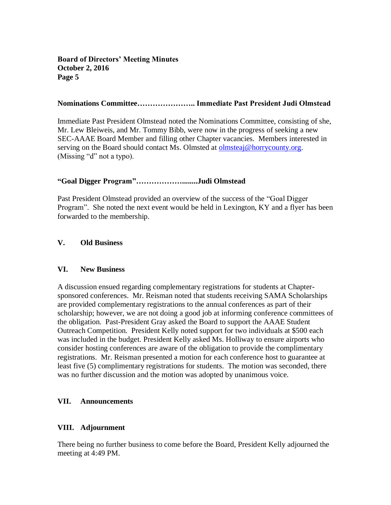# **Board of Directors' Meeting Minutes October 2, 2016 Page 5**

#### **Nominations Committee………………….. Immediate Past President Judi Olmstead**

Immediate Past President Olmstead noted the Nominations Committee, consisting of she, Mr. Lew Bleiweis, and Mr. Tommy Bibb, were now in the progress of seeking a new SEC-AAAE Board Member and filling other Chapter vacancies. Members interested in serving on the Board should contact Ms. Olmsted at [olmsteaj@horrycounty.org.](mailto:olmsteaj@horrycounty.org) (Missing "d" not a typo).

## **"Goal Digger Program"………………........Judi Olmstead**

Past President Olmstead provided an overview of the success of the "Goal Digger Program". She noted the next event would be held in Lexington, KY and a flyer has been forwarded to the membership.

#### **V. Old Business**

#### **VI. New Business**

A discussion ensued regarding complementary registrations for students at Chaptersponsored conferences. Mr. Reisman noted that students receiving SAMA Scholarships are provided complementary registrations to the annual conferences as part of their scholarship; however, we are not doing a good job at informing conference committees of the obligation. Past-President Gray asked the Board to support the AAAE Student Outreach Competition. President Kelly noted support for two individuals at \$500 each was included in the budget. President Kelly asked Ms. Holliway to ensure airports who consider hosting conferences are aware of the obligation to provide the complimentary registrations. Mr. Reisman presented a motion for each conference host to guarantee at least five (5) complimentary registrations for students. The motion was seconded, there was no further discussion and the motion was adopted by unanimous voice.

#### **VII. Announcements**

#### **VIII. Adjournment**

There being no further business to come before the Board, President Kelly adjourned the meeting at 4:49 PM.